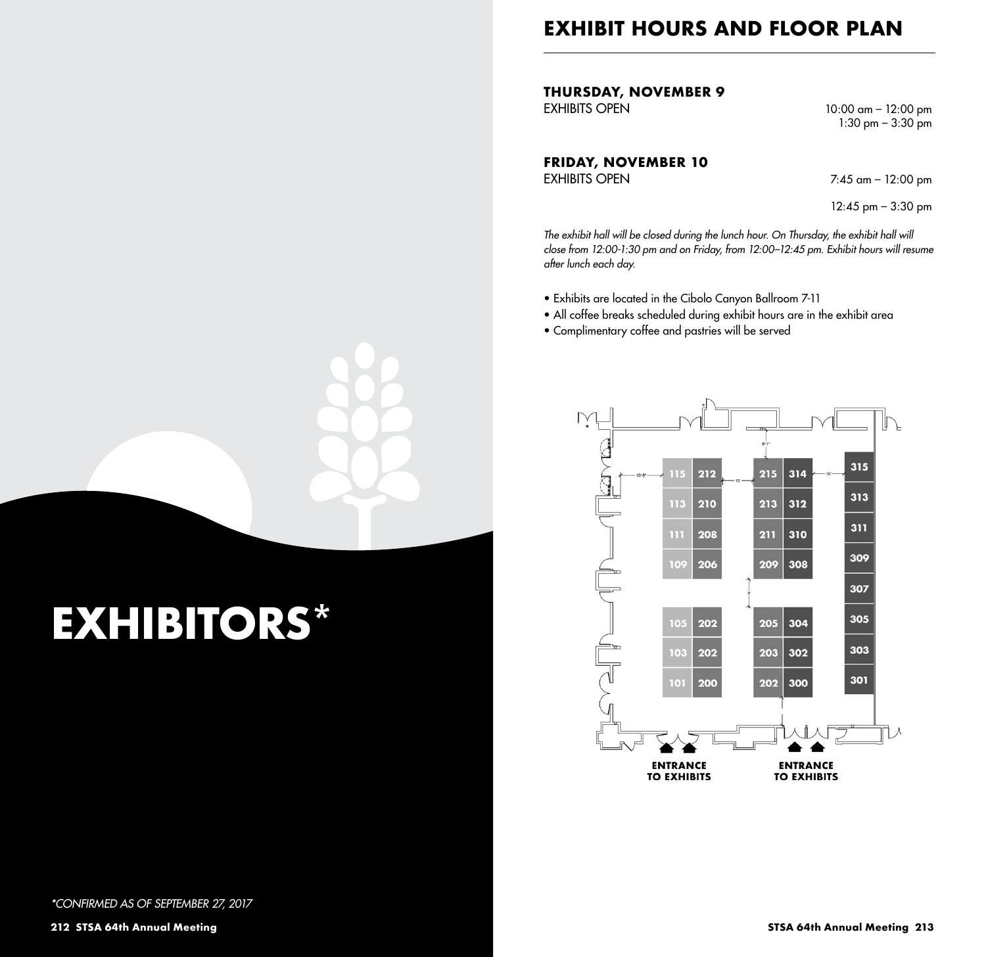## **EXHIBIT HOURS AND FLOOR PLAN**

**THURSDAY, NOVEMBER 9**

10:00 am - 12:00 pm  $1:30 \text{ pm} - 3:30 \text{ pm}$ 

**FRIDAY, NOVEMBER 10**

 $7:45$  am – 12:00 pm

12:45 pm – 3:30 pm

The exhibit hall will be closed during the lunch hour. On Thursday, the exhibit hall will *close from 12:00-1:30 pm and on Friday, from 12:00–12:45 pm. Exhibit hours will resume after lunch each day.*

- Exhibits are located in the Cibolo Canyon Ballroom 7-11
- All coffee breaks scheduled during exhibit hours are in the exhibit area
- Complimentary coffee and pastries will be served



# **EXHIBITORS\***

*\*CONFIRMED AS OF SEPTEMBER 27, 2017*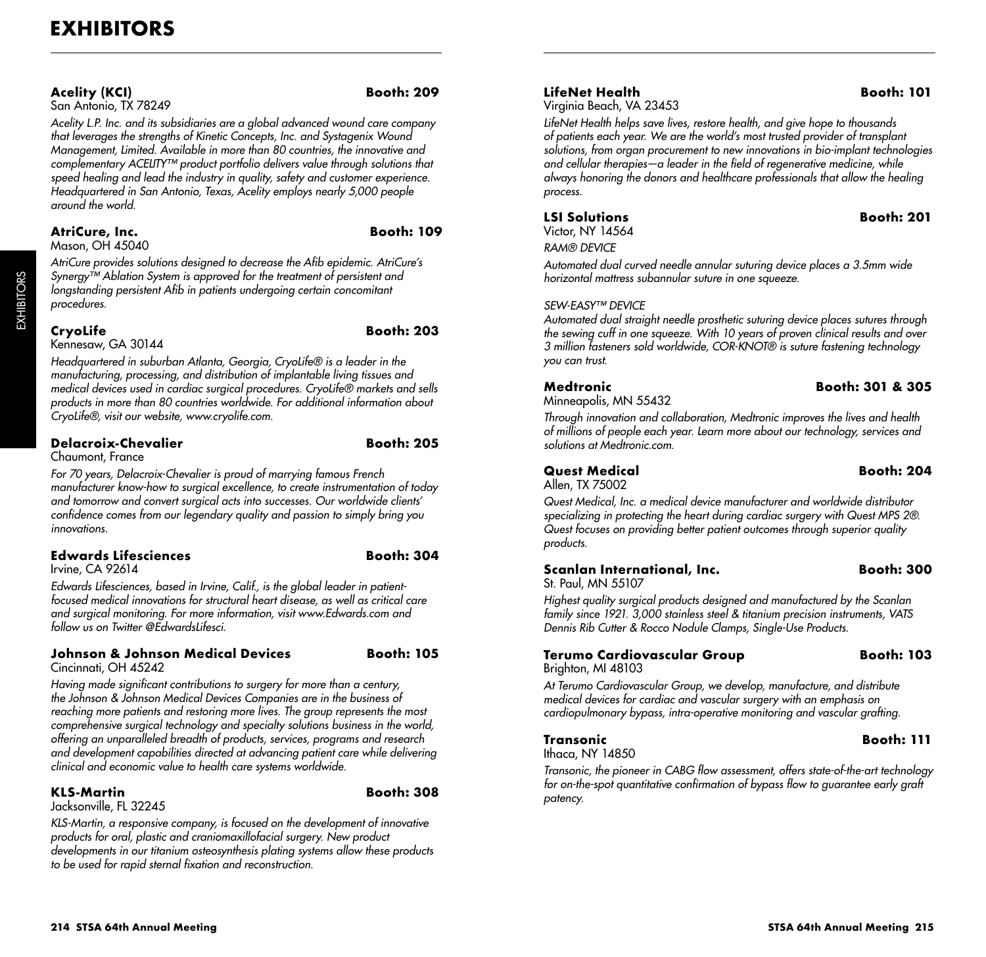#### **Acelity (KCI) Booth: 209**

San Antonio, TX 78249

*Acelity L.P. Inc. and its subsidiaries are a global advanced wound care company that leverages the strengths of Kinetic Concepts, Inc. and Systagenix Wound Management, Limited. Available in more than 80 countries, the innovative and complementary ACELITY™ product portfolio delivers value through solutions that speed healing and lead the industry in quality, safety and customer experience. Headquartered in San Antonio, Texas, Acelity employs nearly 5,000 people around the world.*

#### **AtriCure, Inc. Booth: 109**

Mason, OH 45040

*AtriCure provides solutions designed to decrease the Afib epidemic. AtriCure's Synergy™ Ablation System is approved for the treatment of persistent and longstanding persistent Afib in patients undergoing certain concomitant procedures.*

EXHIBITORS

**EXHIBITORS** 

Kennesaw, GA 30144

**CryoLife Booth: 203**

*Headquartered in suburban Atlanta, Georgia, CryoLife® is a leader in the manufacturing, processing, and distribution of implantable living tissues and medical devices used in cardiac surgical procedures. CryoLife® markets and sells products in more than 80 countries worldwide. For additional information about CryoLife®, visit our website, www.cryolife.com.*

#### **Delacroix-Chevalier Booth: 205**

Chaumont, France

*For 70 years, Delacroix-Chevalier is proud of marrying famous French manufacturer know-how to surgical excellence, to create instrumentation of today and tomorrow and convert surgical acts into successes. Our worldwide clients' confidence comes from our legendary quality and passion to simply bring you innovations.*

### **Edwards Lifesciences Booth: 304**

Irvine, CA 92614

*Edwards Lifesciences, based in Irvine, Calif., is the global leader in patientfocused medical innovations for structural heart disease, as well as critical care and surgical monitoring. For more information, visit www.Edwards.com and follow us on Twitter @EdwardsLifesci.*

#### **Johnson & Johnson Medical Devices Booth: 105** Cincinnati, OH 45242

*Having made significant contributions to surgery for more than a century, the Johnson & Johnson Medical Devices Companies are in the business of reaching more patients and restoring more lives. The group represents the most comprehensive surgical technology and specialty solutions business in the world, offering an unparalleled breadth of products, services, programs and research and development capabilities directed at advancing patient care while delivering clinical and economic value to health care systems worldwide.*

### **KLS-Martin Booth: 308**

Jacksonville, FL 32245

*KLS-Martin, a responsive company, is focused on the development of innovative products for oral, plastic and craniomaxillofacial surgery. New product developments in our titanium osteosynthesis plating systems allow these products to be used for rapid sternal fixation and reconstruction.*

#### **LifeNet Health Booth: 101**

Virginia Beach, VA 23453

#### *LifeNet Health helps save lives, restore health, and give hope to thousands of patients each year. We are the world's most trusted provider of transplant solutions, from organ procurement to new innovations in bio-implant technologies and cellular therapies—a leader in the field of regenerative medicine, while always honoring the donors and healthcare professionals that allow the healing process.*

Victor, NY 14564

#### **LSI Solutions Booth: 201**

*RAM® DEVICE*

*Automated dual curved needle annular suturing device places a 3.5mm wide horizontal mattress subannular suture in one squeeze.*

#### *SEW-EASY™ DEVICE*

*Automated dual straight needle prosthetic suturing device places sutures through the sewing cuff in one squeeze. With 10 years of proven clinical results and over 3 million fasteners sold worldwide, COR-KNOT® is suture fastening technology you can trust.*

# Minneapolis, MN 55432

#### **Medtronic Booth: 301 & 305**

*Through innovation and collaboration, Medtronic improves the lives and health of millions of people each year. Learn more about our technology, services and solutions at Medtronic.com.*

#### **Quest Medical Booth: 204** Allen, TX 75002

*Quest Medical, Inc. a medical device manufacturer and worldwide distributor specializing in protecting the heart during cardiac surgery with Quest MPS 2®. Quest focuses on providing better patient outcomes through superior quality products.*

#### **Scanlan International, Inc. Booth: 300** St. Paul, MN 55107

*Highest quality surgical products designed and manufactured by the Scanlan family since 1921. 3,000 stainless steel & titanium precision instruments, VATS Dennis Rib Cutter & Rocco Nodule Clamps, Single-Use Products.*

#### **Terumo Cardiovascular Group Booth: 103** Brighton, MI 48103

*At Terumo Cardiovascular Group, we develop, manufacture, and distribute medical devices for cardiac and vascular surgery with an emphasis on cardiopulmonary bypass, intra-operative monitoring and vascular grafting.*

## **Transonic Booth: 111**

Ithaca, NY 14850

*Transonic, the pioneer in CABG flow assessment, offers state-of-the-art technology for on-the-spot quantitative confirmation of bypass flow to guarantee early graft patency.*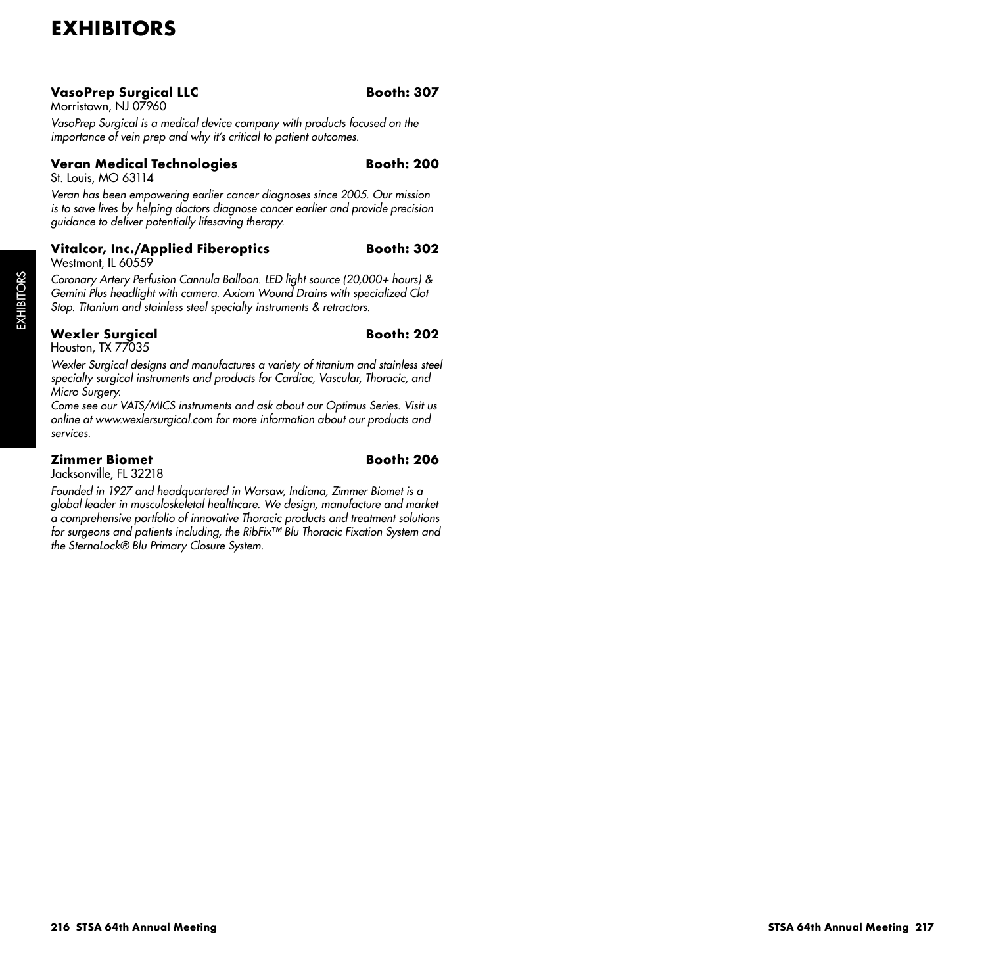#### **VasoPrep Surgical LLC Booth: 307** Morristown, NJ 07960

*VasoPrep Surgical is a medical device company with products focused on the importance of vein prep and why it's critical to patient outcomes.*

#### **Veran Medical Technologies** Booth: 200

St. Louis, MO 63114

*Veran has been empowering earlier cancer diagnoses since 2005. Our mission is to save lives by helping doctors diagnose cancer earlier and provide precision guidance to deliver potentially lifesaving therapy.*

#### **Vitalcor, Inc./Applied Fiberoptics Booth: 302** Westmont, IL 60559

*Coronary Artery Perfusion Cannula Balloon. LED light source (20,000+ hours) & Gemini Plus headlight with camera. Axiom Wound Drains with specialized Clot Stop. Titanium and stainless steel specialty instruments & retractors.*

#### **Wexler Surgical Booth: 202** Houston, TX 77035

*Wexler Surgical designs and manufactures a variety of titanium and stainless steel specialty surgical instruments and products for Cardiac, Vascular, Thoracic, and Micro Surgery.*

*Come see our VATS/MICS instruments and ask about our Optimus Series. Visit us online at www.wexlersurgical.com for more information about our products and services.*

## **Zimmer Biomet Booth: 206**

Jacksonville, FL 32218

*Founded in 1927 and headquartered in Warsaw, Indiana, Zimmer Biomet is a global leader in musculoskeletal healthcare. We design, manufacture and market a comprehensive portfolio of innovative Thoracic products and treatment solutions for surgeons and patients including, the RibFix™ Blu Thoracic Fixation System and the SternaLock® Blu Primary Closure System.*